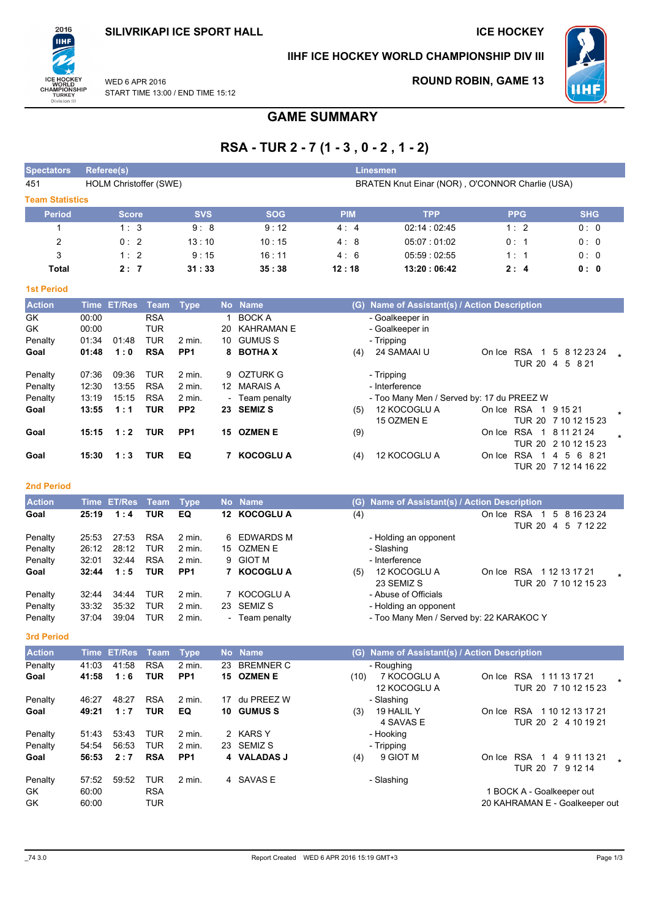# **SILIVRIKAPI ICE SPORT HALL**

## **ICE HOCKEY**



## IIHF ICE HOCKEY WORLD CHAMPIONSHIP DIV III



**ROUND ROBIN, GAME 13** 

WFD 6 APR 2016 START TIME 13:00 / END TIME 15:12

# **GAME SUMMARY**

# RSA-TUR 2-7 (1-3, 0-2, 1-2)

| <b>Spectators</b>      | Referee(s)             |            |            |            | Linesmen                                        |            |            |  |  |  |  |  |
|------------------------|------------------------|------------|------------|------------|-------------------------------------------------|------------|------------|--|--|--|--|--|
| 451                    | HOLM Christoffer (SWE) |            |            |            | BRATEN Knut Einar (NOR), O'CONNOR Charlie (USA) |            |            |  |  |  |  |  |
| <b>Team Statistics</b> |                        |            |            |            |                                                 |            |            |  |  |  |  |  |
| <b>Period</b>          | <b>Score</b>           | <b>SVS</b> | <b>SOG</b> | <b>PIM</b> | <b>TPP</b>                                      | <b>PPG</b> | <b>SHG</b> |  |  |  |  |  |
|                        | 1:3                    | 9:8        | 9:12       | 4:4        | 02:14:02:45                                     | 1:2        | 0:0        |  |  |  |  |  |
| 2                      | 0:2                    | 13:10      | 10:15      | 4:8        | 05:07:01:02                                     | 0:1        | 0:0        |  |  |  |  |  |
| 3                      | 1:2                    | 9:15       | 16:11      | 4:6        | 05:59:02:55                                     | 1:1        | 0:0        |  |  |  |  |  |
| Total                  | 2:7                    | 31:33      | 35:38      | 12:18      | 13:20:06:42                                     | 2:4        | 0: 0       |  |  |  |  |  |

#### **1st Period**

| <b>Action</b> |       | Time ET/Res | Team Type  |                   |    | No Name           |     | (G) Name of Assistant(s) / Action Description |            |               |                              |  |
|---------------|-------|-------------|------------|-------------------|----|-------------------|-----|-----------------------------------------------|------------|---------------|------------------------------|--|
| GK            | 00:00 |             | <b>RSA</b> |                   |    | <b>BOCK A</b>     |     | - Goalkeeper in                               |            |               |                              |  |
| GK            | 00:00 |             | <b>TUR</b> |                   | 20 | <b>KAHRAMAN E</b> |     | - Goalkeeper in                               |            |               |                              |  |
| Penalty       | 01:34 | 01:48       | <b>TUR</b> | $2$ min.          | 10 | <b>GUMUS S</b>    |     | - Tripping                                    |            |               |                              |  |
| Goal          | 01:48 | 1:0         | <b>RSA</b> | PP <sub>1</sub>   |    | 8 BOTHAX          | (4) | 24 SAMAAI U                                   | On Ice     | <b>RSA</b>    | 5 8 12 23 24                 |  |
|               |       |             |            |                   |    |                   |     |                                               |            | <b>TUR 20</b> | 5<br>8 2 1<br>$\overline{4}$ |  |
| Penalty       | 07:36 | 09:36       | <b>TUR</b> | 2 min.            |    | 9 OZTURK G        |     | - Tripping                                    |            |               |                              |  |
| Penalty       | 12:30 | 13:55       | <b>RSA</b> | $2 \text{ min}$ . | 12 | MARAIS A          |     | - Interference                                |            |               |                              |  |
| Penalty       | 13:19 | 15:15       | <b>RSA</b> | $2$ min.          |    | - Team penalty    |     | - Too Many Men / Served by: 17 du PREEZ W     |            |               |                              |  |
| Goal          | 13:55 | 1:1         | <b>TUR</b> | PP <sub>2</sub>   |    | 23 SEMIZ S        | (5) | 12 KOCOGLU A                                  | On Ice RSA |               | 1 9 15 21                    |  |
|               |       |             |            |                   |    |                   |     | 15 OZMEN E                                    |            |               | TUR 20 7 10 12 15 23         |  |
| Goal          | 15:15 | 1:2         | <b>TUR</b> | PP <sub>1</sub>   |    | 15 OZMEN E        | (9) |                                               | On Ice     | <b>RSA</b>    | 1 8 11 21 24                 |  |
|               |       |             |            |                   |    |                   |     |                                               |            |               | TUR 20 2 10 12 15 23         |  |
| Goal          | 15:30 | 1:3         | <b>TUR</b> | EQ                |    | <b>KOCOGLU A</b>  | (4) | 12 KOCOGLU A                                  | On Ice     | <b>RSA</b>    | 5 6 8 21<br>4                |  |
|               |       |             |            |                   |    |                   |     |                                               |            |               | TUR 20 7 12 14 16 22         |  |

### **2nd Period**

| <b>Action</b> |       | Time ET/Res Team Type |            |                 |                          | No Name          |     | (G) Name of Assistant(s) / Action Description |        |                                                          |
|---------------|-------|-----------------------|------------|-----------------|--------------------------|------------------|-----|-----------------------------------------------|--------|----------------------------------------------------------|
| Goal          | 25:19 | 1:4                   | TUR        | EQ              | 12.                      | <b>KOCOGLU A</b> | (4) |                                               | On Ice | <b>RSA</b><br>5 8 16 23 24<br>TUR 20<br>5 7 1 2 2 2<br>4 |
| Penalty       | 25:53 | 27:53                 | <b>RSA</b> | 2 min.          |                          | 6 EDWARDS M      |     | - Holding an opponent                         |        |                                                          |
| Penalty       | 26:12 | 28:12                 | TUR        | 2 min.          |                          | 15 OZMEN E       |     | - Slashing                                    |        |                                                          |
| Penalty       | 32:01 | 32:44                 | <b>RSA</b> | 2 min.          |                          | 9 GIOT M         |     | - Interference                                |        |                                                          |
| Goal          | 32:44 | 1:5                   | TUR        | PP <sub>1</sub> |                          | <b>KOCOGLU A</b> | (5) | 12 KOCOGLU A                                  | On Ice | <b>RSA</b><br>1 12 13 17 21                              |
|               |       |                       |            |                 |                          |                  |     | 23 SEMIZ S                                    |        | TUR 20 7 10 12 15 23                                     |
| Penalty       | 32:44 | 34:44                 | TUR        | 2 min.          |                          | KOCOGLU A        |     | - Abuse of Officials                          |        |                                                          |
| Penalty       | 33:32 | 35:32                 | <b>TUR</b> | 2 min.          |                          | 23 SEMIZ S       |     | - Holding an opponent                         |        |                                                          |
| Penalty       | 37:04 | 39:04                 | TUR        | 2 min.          | $\overline{\phantom{0}}$ | Team penalty     |     | - Too Many Men / Served by: 22 KARAKOC Y      |        |                                                          |

### 3rd Period

| <b>Action</b>        |                         | Time ET/Res Team |                                 | <b>Type</b>     |    | No Name          |      | (G) Name of Assistant(s) / Action Description |        |                                                             |
|----------------------|-------------------------|------------------|---------------------------------|-----------------|----|------------------|------|-----------------------------------------------|--------|-------------------------------------------------------------|
| Penalty              | 41:03                   | 41:58            | <b>RSA</b>                      | $2$ min.        | 23 | <b>BREMNER C</b> |      | - Roughing                                    |        |                                                             |
| Goal                 | 41:58                   | 1:6              | TUR                             | PP <sub>1</sub> |    | 15 OZMEN E       | (10) | 7 KOCOGLU A<br>12 KOCOGLU A                   | On Ice | <b>RSA</b><br>1 11 13 17 21<br>TUR 20 7 10 12 15 23         |
| Penalty              | 46:27                   | 48:27            | <b>RSA</b>                      | 2 min.          | 17 | du PREEZ W       |      | - Slashing                                    |        |                                                             |
| Goal                 | 49:21                   | 1:7              | <b>TUR</b>                      | EQ              |    | 10 GUMUSS        | (3)  | 19 HALIL Y<br>4 SAVAS E                       | On Ice | <b>RSA</b><br>1 10 12 13 17 21<br>TUR 20 2 4 10 19 21       |
| Penalty              | 51:43                   | 53:43            | <b>TUR</b>                      | 2 min.          |    | 2 KARS Y         |      | - Hooking                                     |        |                                                             |
| Penalty              | 54:54                   | 56:53            | <b>TUR</b>                      | 2 min.          |    | 23 SEMIZ S       |      | - Tripping                                    |        |                                                             |
| Goal                 | 56:53                   | 2:7              | <b>RSA</b>                      | PP <sub>1</sub> |    | 4 VALADAS J      | (4)  | 9 GIOT M                                      | On Ice | <b>RSA</b><br>9 11 13 21<br>4<br>TUR 20 7 9 12 14           |
| Penalty<br>GK.<br>GK | 57:52<br>60:00<br>60:00 | 59:52            | <b>TUR</b><br><b>RSA</b><br>TUR | 2 min.          |    | 4 SAVAS E        |      | - Slashing                                    |        | 1 BOCK A - Goalkeeper out<br>20 KAHRAMAN E - Goalkeeper out |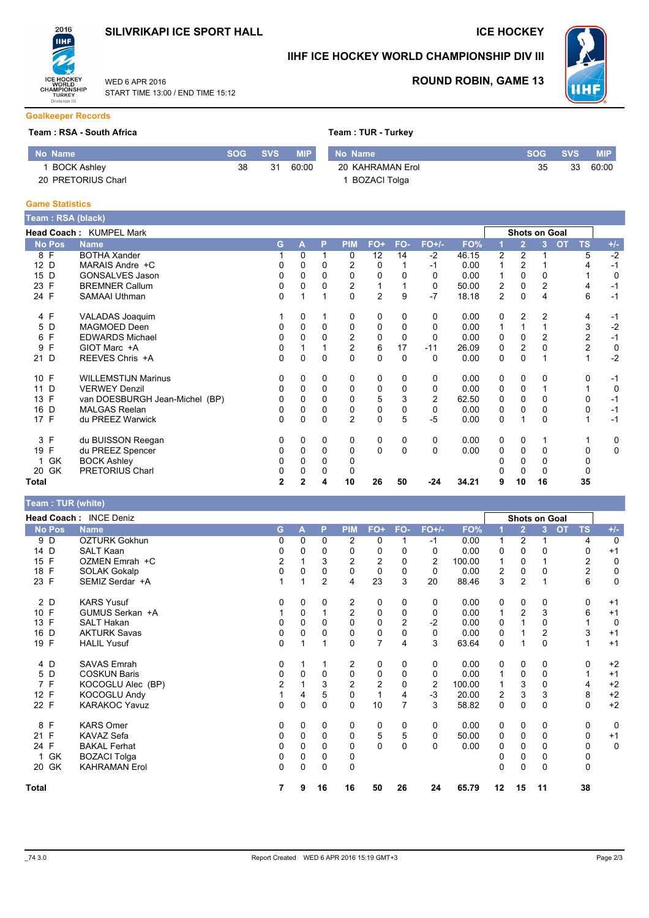

START TIME 13:00 / END TIME 15:12

WFD 6 APR 2016

### **ICE HOCKEY**



# IIHF ICE HOCKEY WORLD CHAMPIONSHIP DIV III



### **ROUND ROBIN, GAME 13**

**Goalkeeper Records** 

### Team: RSA - South Africa

| No Name            | SOG ' | SVS. | <b>MIP</b> | No Name             | <b>SOG</b> | <b>SVS</b> | MIP.  |
|--------------------|-------|------|------------|---------------------|------------|------------|-------|
| <b>BOCK Ashley</b> | 38    | 31   | 60:00      | 20 KAHRAMAN Erol    | 35         | 33         | 60:00 |
| 20 PRETORIUS Charl |       |      |            | <b>BOZACI Tolga</b> |            |            |       |

#### **Game Statistics**

| Team : RSA (black) |                                |                |          |              |                |                |     |                |       |                |                      |                |           |                |             |
|--------------------|--------------------------------|----------------|----------|--------------|----------------|----------------|-----|----------------|-------|----------------|----------------------|----------------|-----------|----------------|-------------|
|                    | Head Coach: KUMPEL Mark        |                |          |              |                |                |     |                |       |                | <b>Shots on Goal</b> |                |           |                |             |
| <b>No Pos</b>      | <b>Name</b>                    | G              | A        | P            | <b>PIM</b>     | FO+            | FO- | $FO+/-$        | FO%   |                | $\overline{2}$       | $\overline{3}$ | <b>OT</b> | <b>TS</b>      | $+/-$       |
| 8 F                | <b>BOTHA Xander</b>            |                | $\Omega$ |              | 0              | 12             | 14  | $-2$           | 46.15 | 2              | 2                    |                |           | 5              | $-2$        |
| 12 D               | MARAIS Andre +C                | 0              | 0        | 0            | $\overline{c}$ | 0              |     | $-1$           | 0.00  |                | 2                    |                |           | 4              | $-1$        |
| 15 D               | <b>GONSALVES Jason</b>         | 0              | 0        |              | 0              | $\Omega$       |     | 0              | 0.00  |                | $\Omega$             | 0              |           |                | 0           |
| 23 F               | <b>BREMNER Callum</b>          | 0              | 0        | 0            | 2              |                |     | 0              | 50.00 | 2              | 0                    | 2              |           | 4              | $-1$        |
| 24 F               | <b>SAMAAI Uthman</b>           | 0              |          |              | $\Omega$       | $\overline{2}$ | 9   | $-7$           | 18.18 | $\overline{2}$ | $\mathbf 0$          | 4              |           | 6              | $-1$        |
| 4 F                | VALADAS Joaquim                |                | 0        |              | 0              | 0              | 0   | 0              | 0.00  | 0              | 2                    | 2              |           | 4              | $-1$        |
| D<br>5             | MAGMOED Deen                   | 0              | 0        | $\Omega$     | 0              | 0              | 0   | $\Omega$       | 0.00  |                |                      |                |           | 3              | $-2$        |
| F<br>6             | <b>EDWARDS Michael</b>         | 0              | 0        | 0            | $\overline{c}$ | 0              | 0   | $\Omega$       | 0.00  | 0              | 0                    | $\overline{c}$ |           | $\overline{c}$ | $-1$        |
| F<br>9             | GIOT Marc +A                   | 0              |          |              | $\overline{2}$ | 6              | 17  | $-11$          | 26.09 | 0              | $\overline{2}$       | 0              |           | 2              | $\mathbf 0$ |
| 21 D               | REEVES Chris +A                | 0              | 0        | 0            | $\Omega$       | $\mathbf 0$    | 0   | 0              | 0.00  | 0              | $\Omega$             |                |           |                | $-2$        |
| 10 F               | <b>WILLEMSTIJN Marinus</b>     | 0              | 0        | $\mathbf{0}$ | 0              | 0              | 0   | 0              | 0.00  | 0              | $\Omega$             | 0              |           | 0              | -1          |
| 11<br>D            | <b>VERWEY Denzil</b>           | 0              | 0        | $\Omega$     | 0              | 0              | 0   | 0              | 0.00  | 0              | 0                    |                |           |                | 0           |
| F<br>13            | van DOESBURGH Jean-Michel (BP) | 0              | 0        | 0            | 0              | 5              | 3   | $\overline{2}$ | 62.50 | 0              | $\Omega$             | 0              |           | 0              | $-1$        |
| D<br>16            | <b>MALGAS Reelan</b>           |                |          |              | 0              | 0              |     | 0              | 0.00  | 0              | 0                    | 0              |           | 0              | $-1$        |
| 17 F               | du PREEZ Warwick               | 0              | 0        | 0            | $\overline{2}$ | $\mathbf 0$    | 5   | -5             | 0.00  | 0              |                      | 0              |           |                | $-1$        |
| 3 F                | du BUISSON Reegan              | 0              | 0        | 0            | 0              | 0              | 0   | 0              | 0.00  | 0              | 0                    |                |           |                | 0           |
| $\mathsf{F}$<br>19 | du PREEZ Spencer               | 0              | 0        | $\mathbf 0$  | 0              | $\mathbf 0$    | 0   | 0              | 0.00  | 0              | 0                    | 0              |           | 0              | 0           |
| GK                 | <b>BOCK Ashley</b>             | 0              | 0        | 0            |                |                |     |                |       |                | 0                    | O              |           |                |             |
| 20 GK              | <b>PRETORIUS Charl</b>         | 0              | 0        | 0            | 0              |                |     |                |       |                | 0                    | 0              |           | 0              |             |
| Total              |                                | $\overline{2}$ | 2        | 4            | 10             | 26             | 50  | $-24$          | 34.21 | 9              | 10                   | 16             |           | 35             |             |

### Team: TUR (white)

|               | Head Coach: INCE Deniz |                |              |                |                |                |          |                |        |    |                | Shots on Goal |                        |              |
|---------------|------------------------|----------------|--------------|----------------|----------------|----------------|----------|----------------|--------|----|----------------|---------------|------------------------|--------------|
| <b>No Pos</b> | <b>Name</b>            | G              | A            | P              | <b>PIM</b>     | FO+            | FO-      | $FO+/-$        | FO%    |    | $\overline{2}$ | 3             | <b>TS</b><br><b>OT</b> | $+/-$        |
| 9 D           | <b>OZTURK Gokhun</b>   |                | $\Omega$     | 0              | 2              | $\Omega$       |          | $-1$           | 0.00   |    | $\overline{2}$ |               | 4                      | $\mathbf{0}$ |
| 14 D          | <b>SALT Kaan</b>       | 0              | 0            | 0              | 0              | 0              | 0        | 0              | 0.00   | 0  | 0              | 0             | 0                      | $+1$         |
| 15 F          | OZMEN Emrah +C         | $\overline{c}$ |              | 3              | $\overline{2}$ | $\overline{2}$ | $\Omega$ | $\overline{2}$ | 100.00 |    | 0              |               | $\overline{2}$         | 0            |
| F<br>18       | <b>SOLAK Gokalp</b>    | 0              | 0            | 0              | 0              | $\mathbf 0$    | $\Omega$ | 0              | 0.00   | 2  | 0              | $\Omega$      | $\overline{c}$         | 0            |
| 23 F          | SEMIZ Serdar +A        |                |              | $\overline{2}$ | 4              | 23             | 3        | 20             | 88.46  | 3  | $\overline{2}$ |               | 6                      | $\mathbf 0$  |
| 2 D           | <b>KARS Yusuf</b>      | 0              | 0            | $\Omega$       | $\overline{c}$ | 0              | $\Omega$ | 0              | 0.00   | 0  | 0              | 0             | 0                      | $+1$         |
| 10 F          | GUMUS Serkan +A        |                | 0            |                | $\overline{c}$ | 0              | 0        | 0              | 0.00   | 1  | $\overline{2}$ | 3             | 6                      | $+1$         |
| F<br>13       | <b>SALT Hakan</b>      |                | $\Omega$     | 0              | $\Omega$       | $\Omega$       | 2        | -2             | 0.00   | 0  |                | 0             |                        | 0            |
| 16<br>D       | <b>AKTURK Savas</b>    | 0              | 0            | 0              | $\Omega$       | 0              | $\Omega$ | 0              | 0.00   | 0  |                | 2             | 3                      | $+1$         |
| F<br>19       | <b>HALIL Yusuf</b>     | 0              |              |                | $\mathbf 0$    | 7              | 4        | 3              | 63.64  | 0  |                | 0             | 1                      | $+1$         |
| 4 D           | <b>SAVAS Emrah</b>     | 0              |              |                | $\overline{c}$ | 0              | $\Omega$ | 0              | 0.00   | 0  | 0              | 0             | 0                      | $+2$         |
| 5 D           | <b>COSKUN Baris</b>    | 0              | 0            | 0              | $\mathbf 0$    | 0              | $\Omega$ | 0              | 0.00   |    | 0              | 0             | 1                      | $+1$         |
| 7 F           | KOCOGLU Alec (BP)      | $\overline{c}$ |              | 3              | $\overline{2}$ | $\overline{2}$ | $\Omega$ | 2              | 100.00 |    | 3              | 0             | 4                      | $+2$         |
| 12 F          | <b>KOCOGLU Andy</b>    |                | 4            | 5              | 0              | 1              | 4        | $-3$           | 20.00  | 2  | 3              | 3             | 8                      | $+2$         |
| 22 F          | <b>KARAKOC Yavuz</b>   | 0              | 0            | $\mathbf 0$    | $\mathbf 0$    | 10             | 7        | 3              | 58.82  | 0  | $\mathbf 0$    | $\Omega$      | 0                      | $+2$         |
| F<br>8        | <b>KARS Omer</b>       | 0              | $\mathbf{0}$ | $\Omega$       | 0              | 0              | $\Omega$ | 0              | 0.00   | 0  | 0              | 0             | 0                      | $\mathbf 0$  |
| F<br>21       | KAVAZ Sefa             | 0              | 0            | $\Omega$       | $\mathbf 0$    | 5              | 5        | 0              | 50.00  | 0  | $\mathbf 0$    | 0             | 0                      | $+1$         |
| 24 F          | <b>BAKAL Ferhat</b>    |                | 0            | 0              | 0              | 0              | $\Omega$ | 0              | 0.00   | 0  | 0              |               | 0                      | $\mathbf 0$  |
| GK            | <b>BOZACI Tolga</b>    | 0              | 0            | $\Omega$       | 0              |                |          |                |        | 0  | 0              | 0             | 0                      |              |
| GK<br>20      | <b>KAHRAMAN Erol</b>   | 0              | 0            | $\mathbf 0$    | $\mathbf 0$    |                |          |                |        | 0  | 0              | $\Omega$      | 0                      |              |
| <b>Total</b>  |                        | 7              | 9            | 16             | 16             | 50             | 26       | 24             | 65.79  | 12 | 15             | 11            | 38                     |              |